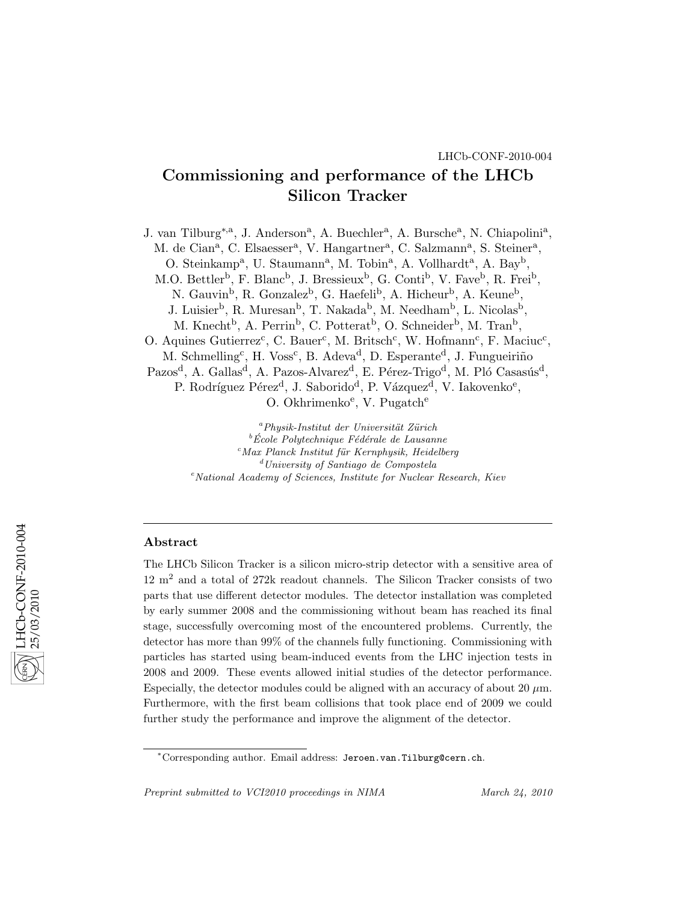# Commissioning and performance of the LHCb Silicon Tracker

J. van Tilburg<sup>\*,a</sup>, J. Anderson<sup>a</sup>, A. Buechler<sup>a</sup>, A. Bursche<sup>a</sup>, N. Chiapolini<sup>a</sup>, M. de Cian<sup>a</sup>, C. Elsaesser<sup>a</sup>, V. Hangartner<sup>a</sup>, C. Salzmann<sup>a</sup>, S. Steiner<sup>a</sup>, O. Steinkamp<sup>a</sup>, U. Staumann<sup>a</sup>, M. Tobin<sup>a</sup>, A. Vollhardt<sup>a</sup>, A. Bay<sup>b</sup>, M.O. Bettler<sup>b</sup>, F. Blanc<sup>b</sup>, J. Bressieux<sup>b</sup>, G. Conti<sup>b</sup>, V. Fave<sup>b</sup>, R. Frei<sup>b</sup>, N. Gauvin<sup>b</sup>, R. Gonzalez<sup>b</sup>, G. Haefeli<sup>b</sup>, A. Hicheur<sup>b</sup>, A. Keune<sup>b</sup>, J. Luisier<sup>b</sup>, R. Muresan<sup>b</sup>, T. Nakada<sup>b</sup>, M. Needham<sup>b</sup>, L. Nicolas<sup>b</sup>, M. Knecht<sup>b</sup>, A. Perrin<sup>b</sup>, C. Potterat<sup>b</sup>, O. Schneider<sup>b</sup>, M. Tran<sup>b</sup>, O. Aquines Gutierrez<sup>c</sup>, C. Bauer<sup>c</sup>, M. Britsch<sup>c</sup>, W. Hofmann<sup>c</sup>, F. Maciuc<sup>c</sup>, M. Schmelling<sup>c</sup>, H. Voss<sup>c</sup>, B. Adeva<sup>d</sup>, D. Esperante<sup>d</sup>, J. Fungueiriño Pazos<sup>d</sup>, A. Gallas<sup>d</sup>, A. Pazos-Alvarez<sup>d</sup>, E. Pérez-Trigo<sup>d</sup>, M. Pló Casasús<sup>d</sup>, P. Rodríguez Pérez<sup>d</sup>, J. Saborido<sup>d</sup>, P. Vázquez<sup>d</sup>, V. Iakovenko<sup>e</sup>, O. Okhrimenko<sup>e</sup>, V. Pugatch<sup>e</sup>

> $a$ Physik-Institut der Universität Zürich  ${}^b$ École Polytechnique Fédérale de Lausanne  $^{c}$ Max Planck Institut für Kernphysik, Heidelberg  $d$ University of Santiago de Compostela  $e<sup>e</sup> National Academy of Sciences, Institute for Nuclear Research, Kiev$

# Abstract

The LHCb Silicon Tracker is a silicon micro-strip detector with a sensitive area of  $12 \text{ m}^2$  and a total of 272k readout channels. The Silicon Tracker consists of two parts that use different detector modules. The detector installation was completed by early summer 2008 and the commissioning without beam has reached its final stage, successfully overcoming most of the encountered problems. Currently, the detector has more than 99% of the channels fully functioning. Commissioning with particles has started using beam-induced events from the LHC injection tests in 2008 and 2009. These events allowed initial studies of the detector performance. Especially, the detector modules could be aligned with an accuracy of about 20  $\mu$ m. Furthermore, with the first beam collisions that took place end of 2009 we could further study the performance and improve the alignment of the detector.

Preprint submitted to VCI2010 proceedings in NIMA March 24, 2010

<sup>∗</sup>Corresponding author. Email address: Jeroen.van.Tilburg@cern.ch.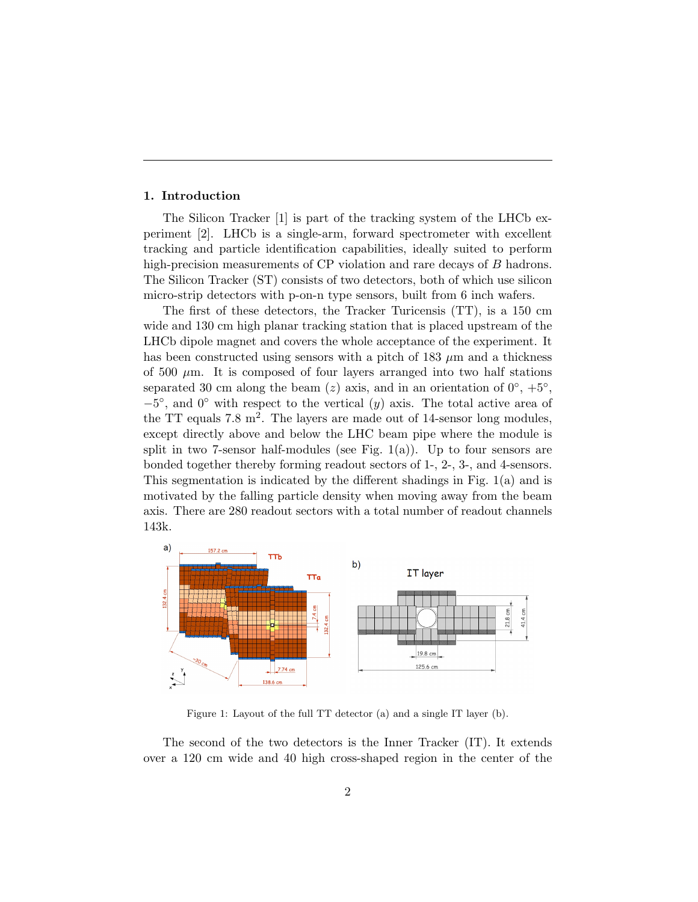## 1. Introduction

The Silicon Tracker [1] is part of the tracking system of the LHCb experiment [2]. LHCb is a single-arm, forward spectrometer with excellent tracking and particle identification capabilities, ideally suited to perform high-precision measurements of CP violation and rare decays of B hadrons. The Silicon Tracker (ST) consists of two detectors, both of which use silicon micro-strip detectors with p-on-n type sensors, built from 6 inch wafers.

The first of these detectors, the Tracker Turicensis (TT), is a 150 cm wide and 130 cm high planar tracking station that is placed upstream of the LHCb dipole magnet and covers the whole acceptance of the experiment. It has been constructed using sensors with a pitch of 183  $\mu$ m and a thickness of 500  $\mu$ m. It is composed of four layers arranged into two half stations separated 30 cm along the beam (z) axis, and in an orientation of  $0^\circ$ ,  $+5^\circ$ ,  $-5^{\circ}$ , and  $0^{\circ}$  with respect to the vertical  $(y)$  axis. The total active area of the TT equals  $7.8 \text{ m}^2$ . The layers are made out of 14-sensor long modules, except directly above and below the LHC beam pipe where the module is split in two 7-sensor half-modules (see Fig. 1(a)). Up to four sensors are bonded together thereby forming readout sectors of 1-, 2-, 3-, and 4-sensors. This segmentation is indicated by the different shadings in Fig. 1(a) and is motivated by the falling particle density when moving away from the beam axis. There are 280 readout sectors with a total number of readout channels 143k.



Figure 1: Layout of the full TT detector (a) and a single IT layer (b).

The second of the two detectors is the Inner Tracker (IT). It extends over a 120 cm wide and 40 high cross-shaped region in the center of the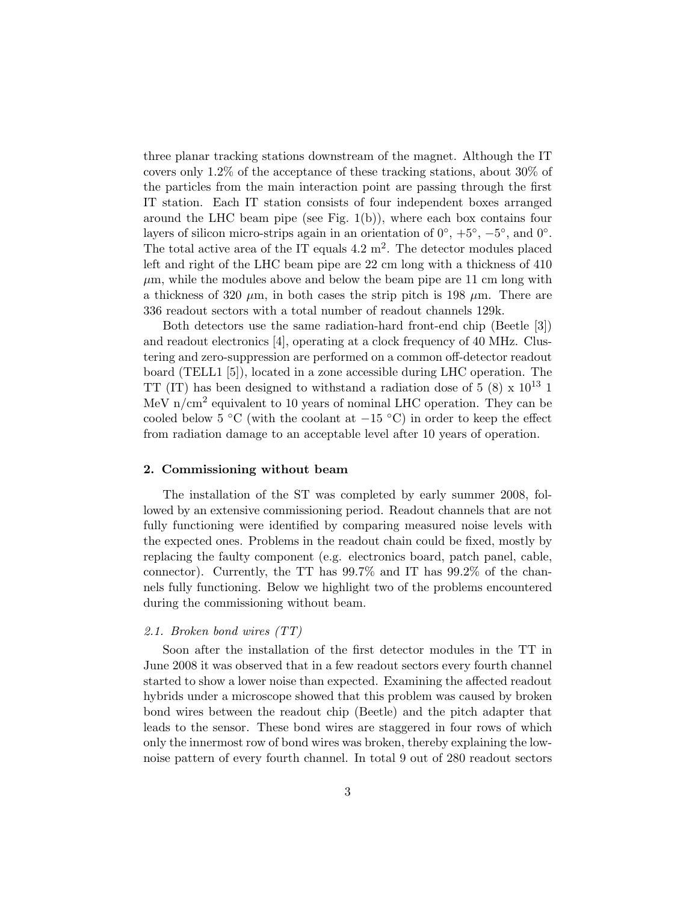three planar tracking stations downstream of the magnet. Although the IT covers only 1.2% of the acceptance of these tracking stations, about 30% of the particles from the main interaction point are passing through the first IT station. Each IT station consists of four independent boxes arranged around the LHC beam pipe (see Fig. 1(b)), where each box contains four layers of silicon micro-strips again in an orientation of  $0^\circ$ ,  $+5^\circ$ ,  $-5^\circ$ , and  $0^\circ$ . The total active area of the IT equals  $4.2 \text{ m}^2$ . The detector modules placed left and right of the LHC beam pipe are 22 cm long with a thickness of 410  $\mu$ m, while the modules above and below the beam pipe are 11 cm long with a thickness of 320  $\mu$ m, in both cases the strip pitch is 198  $\mu$ m. There are 336 readout sectors with a total number of readout channels 129k.

Both detectors use the same radiation-hard front-end chip (Beetle [3]) and readout electronics [4], operating at a clock frequency of 40 MHz. Clustering and zero-suppression are performed on a common off-detector readout board (TELL1 [5]), located in a zone accessible during LHC operation. The TT (IT) has been designed to withstand a radiation dose of  $5(8) \times 10^{13}$  1 MeV n/cm<sup>2</sup> equivalent to 10 years of nominal LHC operation. They can be cooled below 5 °C (with the coolant at  $-15$  °C) in order to keep the effect from radiation damage to an acceptable level after 10 years of operation.

## 2. Commissioning without beam

The installation of the ST was completed by early summer 2008, followed by an extensive commissioning period. Readout channels that are not fully functioning were identified by comparing measured noise levels with the expected ones. Problems in the readout chain could be fixed, mostly by replacing the faulty component (e.g. electronics board, patch panel, cable, connector). Currently, the TT has 99.7% and IT has 99.2% of the channels fully functioning. Below we highlight two of the problems encountered during the commissioning without beam.

## 2.1. Broken bond wires (TT)

Soon after the installation of the first detector modules in the TT in June 2008 it was observed that in a few readout sectors every fourth channel started to show a lower noise than expected. Examining the affected readout hybrids under a microscope showed that this problem was caused by broken bond wires between the readout chip (Beetle) and the pitch adapter that leads to the sensor. These bond wires are staggered in four rows of which only the innermost row of bond wires was broken, thereby explaining the lownoise pattern of every fourth channel. In total 9 out of 280 readout sectors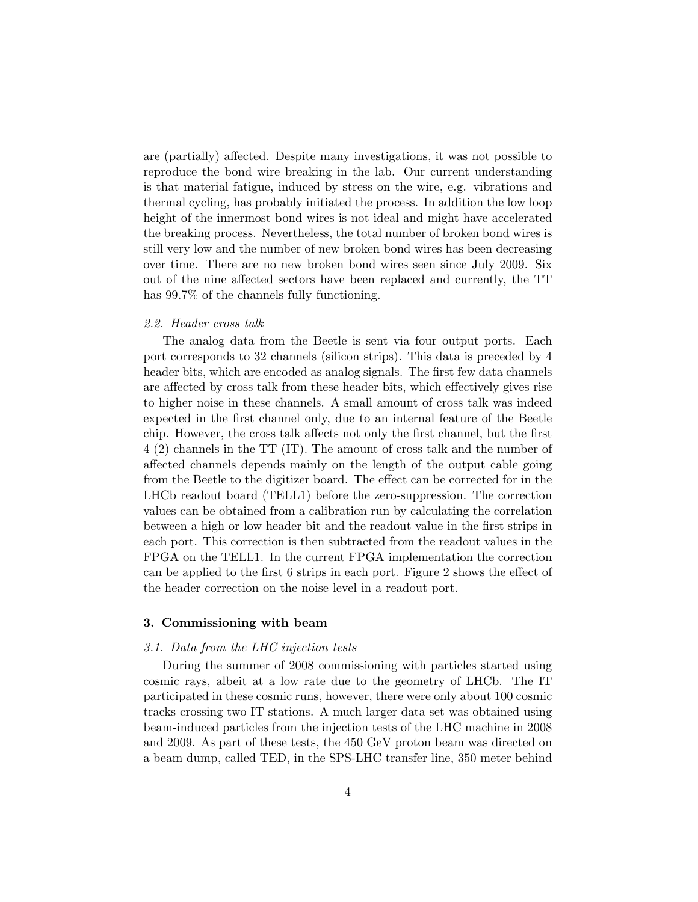are (partially) affected. Despite many investigations, it was not possible to reproduce the bond wire breaking in the lab. Our current understanding is that material fatigue, induced by stress on the wire, e.g. vibrations and thermal cycling, has probably initiated the process. In addition the low loop height of the innermost bond wires is not ideal and might have accelerated the breaking process. Nevertheless, the total number of broken bond wires is still very low and the number of new broken bond wires has been decreasing over time. There are no new broken bond wires seen since July 2009. Six out of the nine affected sectors have been replaced and currently, the TT has 99.7% of the channels fully functioning.

# 2.2. Header cross talk

The analog data from the Beetle is sent via four output ports. Each port corresponds to 32 channels (silicon strips). This data is preceded by 4 header bits, which are encoded as analog signals. The first few data channels are affected by cross talk from these header bits, which effectively gives rise to higher noise in these channels. A small amount of cross talk was indeed expected in the first channel only, due to an internal feature of the Beetle chip. However, the cross talk affects not only the first channel, but the first 4 (2) channels in the TT (IT). The amount of cross talk and the number of affected channels depends mainly on the length of the output cable going from the Beetle to the digitizer board. The effect can be corrected for in the LHCb readout board (TELL1) before the zero-suppression. The correction values can be obtained from a calibration run by calculating the correlation between a high or low header bit and the readout value in the first strips in each port. This correction is then subtracted from the readout values in the FPGA on the TELL1. In the current FPGA implementation the correction can be applied to the first 6 strips in each port. Figure 2 shows the effect of the header correction on the noise level in a readout port.

# 3. Commissioning with beam

### 3.1. Data from the LHC injection tests

During the summer of 2008 commissioning with particles started using cosmic rays, albeit at a low rate due to the geometry of LHCb. The IT participated in these cosmic runs, however, there were only about 100 cosmic tracks crossing two IT stations. A much larger data set was obtained using beam-induced particles from the injection tests of the LHC machine in 2008 and 2009. As part of these tests, the 450 GeV proton beam was directed on a beam dump, called TED, in the SPS-LHC transfer line, 350 meter behind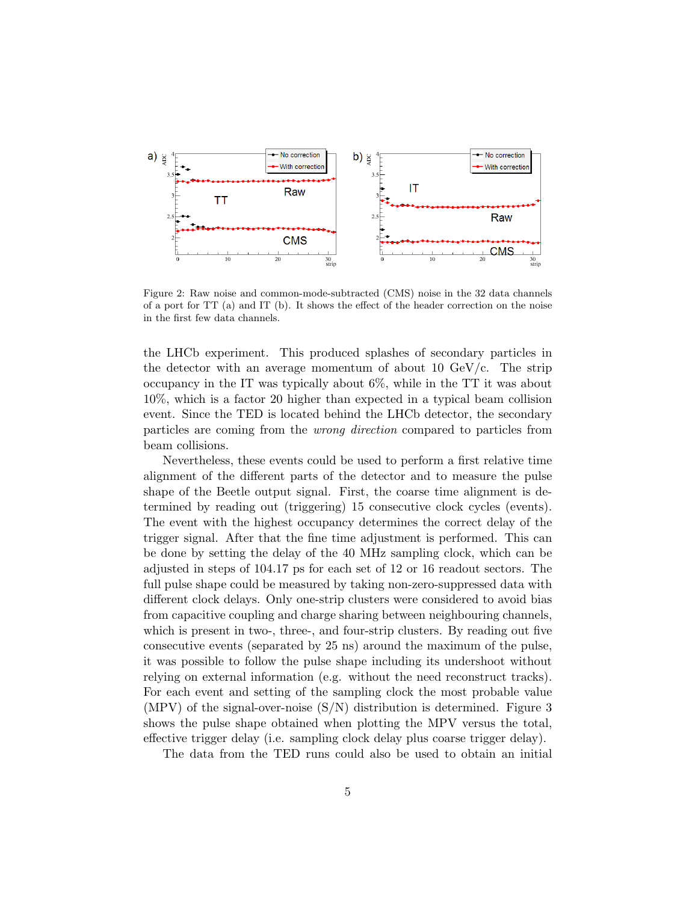

Figure 2: Raw noise and common-mode-subtracted (CMS) noise in the 32 data channels of a port for TT (a) and IT (b). It shows the effect of the header correction on the noise in the first few data channels.

the LHCb experiment. This produced splashes of secondary particles in the detector with an average momentum of about 10  $GeV/c$ . The strip occupancy in the IT was typically about 6%, while in the TT it was about 10%, which is a factor 20 higher than expected in a typical beam collision event. Since the TED is located behind the LHCb detector, the secondary particles are coming from the wrong direction compared to particles from beam collisions.

Nevertheless, these events could be used to perform a first relative time alignment of the different parts of the detector and to measure the pulse shape of the Beetle output signal. First, the coarse time alignment is determined by reading out (triggering) 15 consecutive clock cycles (events). The event with the highest occupancy determines the correct delay of the trigger signal. After that the fine time adjustment is performed. This can be done by setting the delay of the 40 MHz sampling clock, which can be adjusted in steps of 104.17 ps for each set of 12 or 16 readout sectors. The full pulse shape could be measured by taking non-zero-suppressed data with different clock delays. Only one-strip clusters were considered to avoid bias from capacitive coupling and charge sharing between neighbouring channels, which is present in two-, three-, and four-strip clusters. By reading out five consecutive events (separated by 25 ns) around the maximum of the pulse, it was possible to follow the pulse shape including its undershoot without relying on external information (e.g. without the need reconstruct tracks). For each event and setting of the sampling clock the most probable value (MPV) of the signal-over-noise (S/N) distribution is determined. Figure 3 shows the pulse shape obtained when plotting the MPV versus the total, effective trigger delay (i.e. sampling clock delay plus coarse trigger delay).

The data from the TED runs could also be used to obtain an initial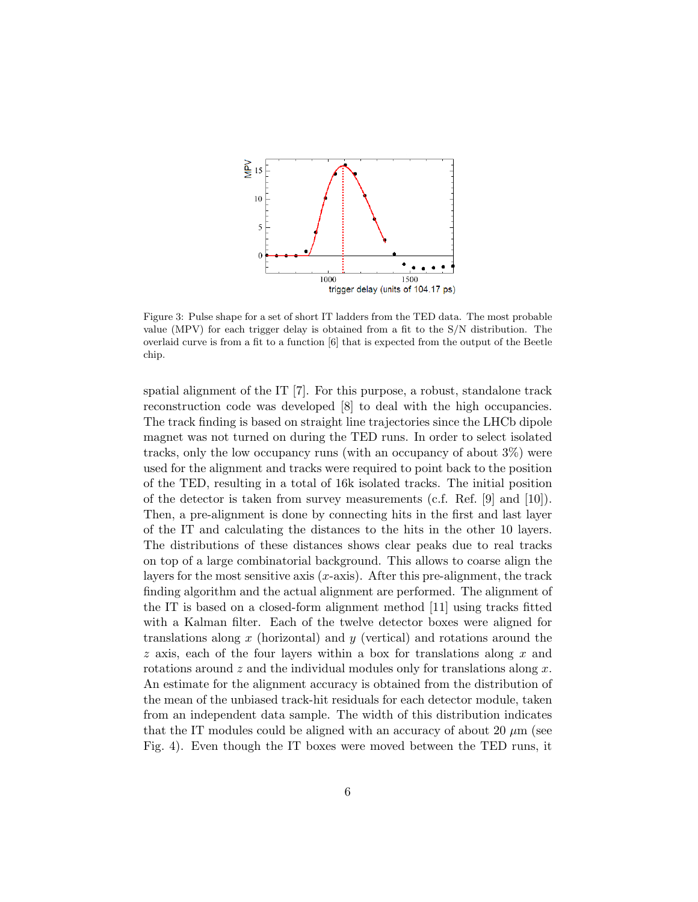

Figure 3: Pulse shape for a set of short IT ladders from the TED data. The most probable value (MPV) for each trigger delay is obtained from a fit to the S/N distribution. The overlaid curve is from a fit to a function [6] that is expected from the output of the Beetle chip.

spatial alignment of the IT [7]. For this purpose, a robust, standalone track reconstruction code was developed [8] to deal with the high occupancies. The track finding is based on straight line trajectories since the LHCb dipole magnet was not turned on during the TED runs. In order to select isolated tracks, only the low occupancy runs (with an occupancy of about 3%) were used for the alignment and tracks were required to point back to the position of the TED, resulting in a total of 16k isolated tracks. The initial position of the detector is taken from survey measurements (c.f. Ref.  $[9]$  and  $[10]$ ). Then, a pre-alignment is done by connecting hits in the first and last layer of the IT and calculating the distances to the hits in the other 10 layers. The distributions of these distances shows clear peaks due to real tracks on top of a large combinatorial background. This allows to coarse align the layers for the most sensitive axis  $(x\text{-axis})$ . After this pre-alignment, the track finding algorithm and the actual alignment are performed. The alignment of the IT is based on a closed-form alignment method [11] using tracks fitted with a Kalman filter. Each of the twelve detector boxes were aligned for translations along  $x$  (horizontal) and  $y$  (vertical) and rotations around the  $z$  axis, each of the four layers within a box for translations along  $x$  and rotations around  $z$  and the individual modules only for translations along  $x$ . An estimate for the alignment accuracy is obtained from the distribution of the mean of the unbiased track-hit residuals for each detector module, taken from an independent data sample. The width of this distribution indicates that the IT modules could be aligned with an accuracy of about 20  $\mu$ m (see Fig. 4). Even though the IT boxes were moved between the TED runs, it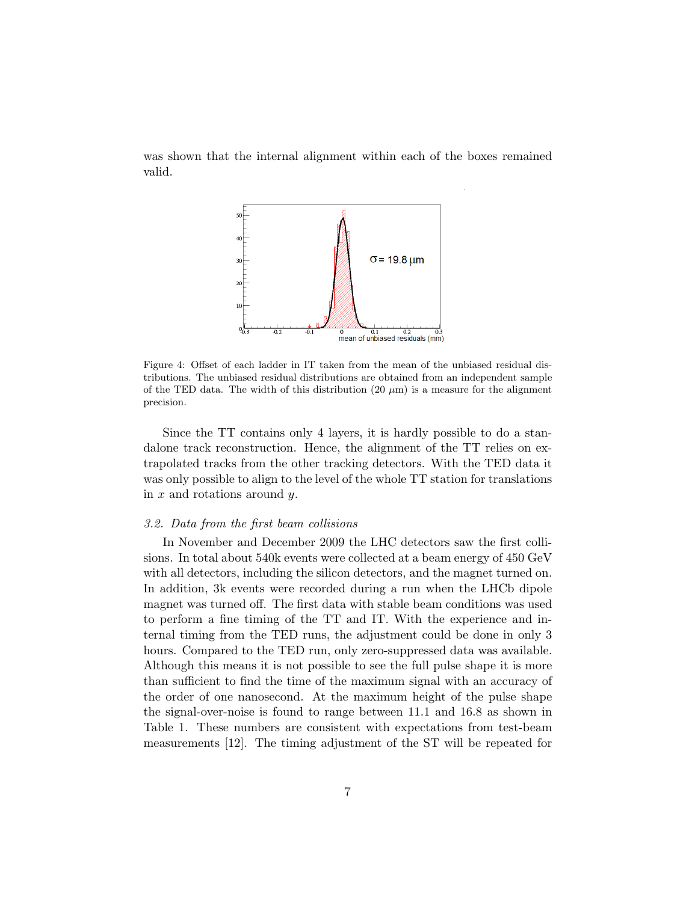was shown that the internal alignment within each of the boxes remained valid.



Figure 4: Offset of each ladder in IT taken from the mean of the unbiased residual distributions. The unbiased residual distributions are obtained from an independent sample of the TED data. The width of this distribution  $(20 \mu m)$  is a measure for the alignment precision.

Since the TT contains only 4 layers, it is hardly possible to do a standalone track reconstruction. Hence, the alignment of the TT relies on extrapolated tracks from the other tracking detectors. With the TED data it was only possible to align to the level of the whole TT station for translations in  $x$  and rotations around  $y$ .

### 3.2. Data from the first beam collisions

In November and December 2009 the LHC detectors saw the first collisions. In total about 540k events were collected at a beam energy of 450 GeV with all detectors, including the silicon detectors, and the magnet turned on. In addition, 3k events were recorded during a run when the LHCb dipole magnet was turned off. The first data with stable beam conditions was used to perform a fine timing of the TT and IT. With the experience and internal timing from the TED runs, the adjustment could be done in only 3 hours. Compared to the TED run, only zero-suppressed data was available. Although this means it is not possible to see the full pulse shape it is more than sufficient to find the time of the maximum signal with an accuracy of the order of one nanosecond. At the maximum height of the pulse shape the signal-over-noise is found to range between 11.1 and 16.8 as shown in Table 1. These numbers are consistent with expectations from test-beam measurements [12]. The timing adjustment of the ST will be repeated for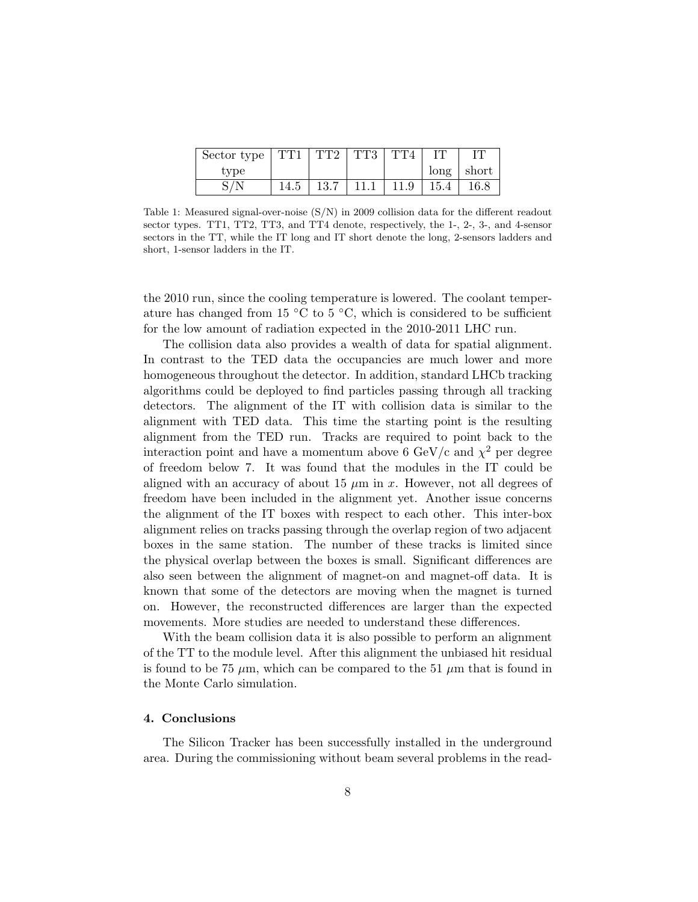| Sector type $\frac{1}{2}$ | $\Gamma$ TT1 | TT2  | TT3  | $\Gamma$ TT4 | IT   |                       |
|---------------------------|--------------|------|------|--------------|------|-----------------------|
| type                      |              |      |      |              |      | $\log  \text{short} $ |
|                           | 14.5         | 13.7 | 11.1 | 11.9         | 15.4 | 16.8                  |

Table 1: Measured signal-over-noise (S/N) in 2009 collision data for the different readout sector types. TT1, TT2, TT3, and TT4 denote, respectively, the 1-, 2-, 3-, and 4-sensor sectors in the TT, while the IT long and IT short denote the long, 2-sensors ladders and short, 1-sensor ladders in the IT.

the 2010 run, since the cooling temperature is lowered. The coolant temperature has changed from 15  $\rm{°C}$  to 5  $\rm{°C}$ , which is considered to be sufficient for the low amount of radiation expected in the 2010-2011 LHC run.

The collision data also provides a wealth of data for spatial alignment. In contrast to the TED data the occupancies are much lower and more homogeneous throughout the detector. In addition, standard LHCb tracking algorithms could be deployed to find particles passing through all tracking detectors. The alignment of the IT with collision data is similar to the alignment with TED data. This time the starting point is the resulting alignment from the TED run. Tracks are required to point back to the interaction point and have a momentum above 6 GeV/c and  $\chi^2$  per degree of freedom below 7. It was found that the modules in the IT could be aligned with an accuracy of about 15  $\mu$ m in x. However, not all degrees of freedom have been included in the alignment yet. Another issue concerns the alignment of the IT boxes with respect to each other. This inter-box alignment relies on tracks passing through the overlap region of two adjacent boxes in the same station. The number of these tracks is limited since the physical overlap between the boxes is small. Significant differences are also seen between the alignment of magnet-on and magnet-off data. It is known that some of the detectors are moving when the magnet is turned on. However, the reconstructed differences are larger than the expected movements. More studies are needed to understand these differences.

With the beam collision data it is also possible to perform an alignment of the TT to the module level. After this alignment the unbiased hit residual is found to be 75  $\mu$ m, which can be compared to the 51  $\mu$ m that is found in the Monte Carlo simulation.

### 4. Conclusions

The Silicon Tracker has been successfully installed in the underground area. During the commissioning without beam several problems in the read-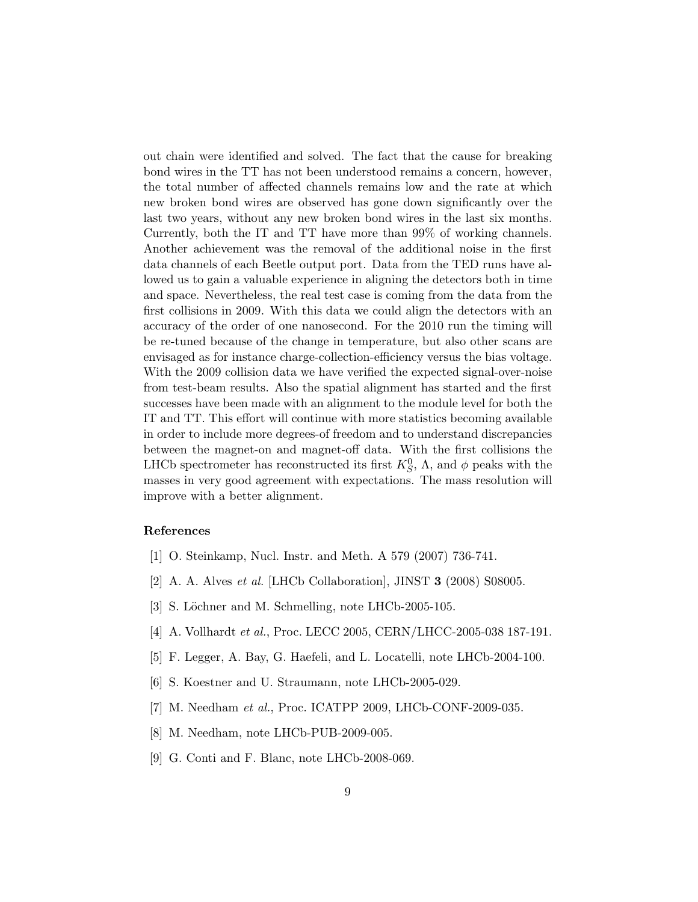out chain were identified and solved. The fact that the cause for breaking bond wires in the TT has not been understood remains a concern, however, the total number of affected channels remains low and the rate at which new broken bond wires are observed has gone down significantly over the last two years, without any new broken bond wires in the last six months. Currently, both the IT and TT have more than 99% of working channels. Another achievement was the removal of the additional noise in the first data channels of each Beetle output port. Data from the TED runs have allowed us to gain a valuable experience in aligning the detectors both in time and space. Nevertheless, the real test case is coming from the data from the first collisions in 2009. With this data we could align the detectors with an accuracy of the order of one nanosecond. For the 2010 run the timing will be re-tuned because of the change in temperature, but also other scans are envisaged as for instance charge-collection-efficiency versus the bias voltage. With the 2009 collision data we have verified the expected signal-over-noise from test-beam results. Also the spatial alignment has started and the first successes have been made with an alignment to the module level for both the IT and TT. This effort will continue with more statistics becoming available in order to include more degrees-of freedom and to understand discrepancies between the magnet-on and magnet-off data. With the first collisions the LHCb spectrometer has reconstructed its first  $K_S^0$ ,  $\Lambda$ , and  $\phi$  peaks with the masses in very good agreement with expectations. The mass resolution will improve with a better alignment.

# References

- [1] O. Steinkamp, Nucl. Instr. and Meth. A 579 (2007) 736-741.
- [2] A. A. Alves et al. [LHCb Collaboration], JINST 3 (2008) S08005.
- [3] S. Löchner and M. Schmelling, note LHCb-2005-105.
- [4] A. Vollhardt et al., Proc. LECC 2005, CERN/LHCC-2005-038 187-191.
- [5] F. Legger, A. Bay, G. Haefeli, and L. Locatelli, note LHCb-2004-100.
- [6] S. Koestner and U. Straumann, note LHCb-2005-029.
- [7] M. Needham et al., Proc. ICATPP 2009, LHCb-CONF-2009-035.
- [8] M. Needham, note LHCb-PUB-2009-005.
- [9] G. Conti and F. Blanc, note LHCb-2008-069.